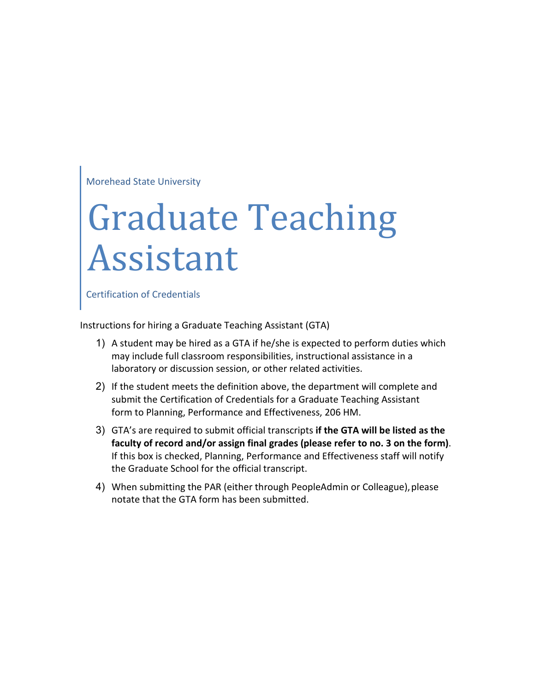Morehead State University

## Graduate Teaching Assistant

Certification of Credentials

Instructions for hiring a Graduate Teaching Assistant (GTA)

- 1) A student may be hired as a GTA if he/she is expected to perform duties which may include full classroom responsibilities, instructional assistance in a laboratory or discussion session, or other related activities.
- 2) If the student meets the definition above, the department will complete and submit the Certification of Credentials for a Graduate Teaching Assistant form to Planning, Performance and Effectiveness, 206 HM.
- 3) GTA's are required to submit official transcripts **if the GTA will be listed as the faculty of record and/or assign final grades (please refer to no. 3 on the form)**. If this box is checked, Planning, Performance and Effectiveness staff will notify the Graduate School for the official transcript.
- 4) When submitting the PAR (either through PeopleAdmin or Colleague), please notate that the GTA form has been submitted.